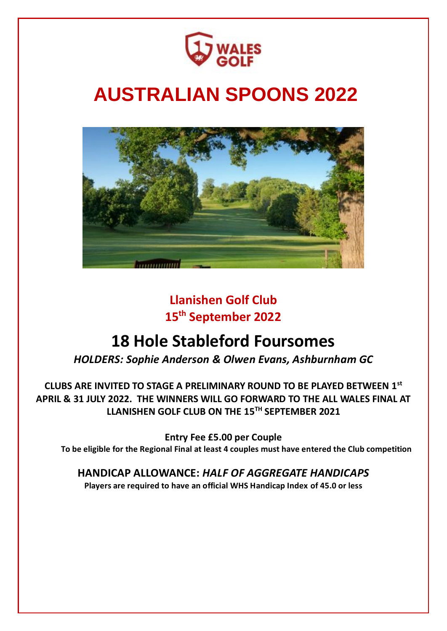

# **AUSTRALIAN SPOONS 2022**



## **Llanishen Golf Club 15th September 2022**

## **18 Hole Stableford Foursomes**

*HOLDERS: Sophie Anderson & Olwen Evans, Ashburnham GC* 

**CLUBS ARE INVITED TO STAGE A PRELIMINARY ROUND TO BE PLAYED BETWEEN 1st APRIL & 31 JULY 2022. THE WINNERS WILL GO FORWARD TO THE ALL WALES FINAL AT LLANISHEN GOLF CLUB ON THE 15TH SEPTEMBER 2021**

**Entry Fee £5.00 per Couple To be eligible for the Regional Final at least 4 couples must have entered the Club competition**

**HANDICAP ALLOWANCE:** *HALF OF AGGREGATE HANDICAPS* **Players are required to have an official WHS Handicap Index of 45.0 or less**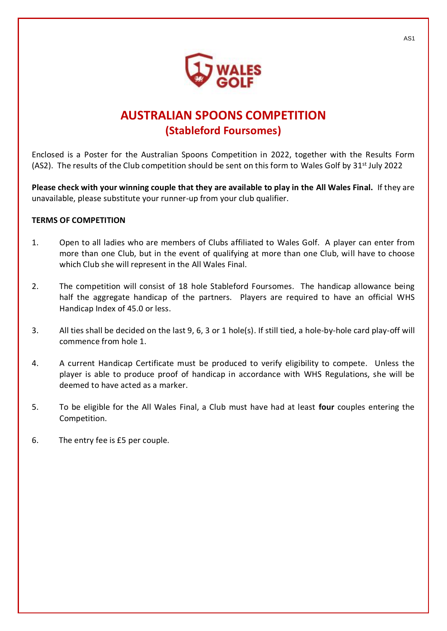

### **AUSTRALIAN SPOONS COMPETITION (Stableford Foursomes)**

Enclosed is a Poster for the Australian Spoons Competition in 2022, together with the Results Form (AS2). The results of the Club competition should be sent on this form to Wales Golf by  $31^{st}$  July 2022

**Please check with your winning couple that they are available to play in the All Wales Final.** If they are unavailable, please substitute your runner-up from your club qualifier.

#### **TERMS OF COMPETITION**

- 1. Open to all ladies who are members of Clubs affiliated to Wales Golf. A player can enter from more than one Club, but in the event of qualifying at more than one Club, will have to choose which Club she will represent in the All Wales Final.
- 2. The competition will consist of 18 hole Stableford Foursomes. The handicap allowance being half the aggregate handicap of the partners. Players are required to have an official WHS Handicap Index of 45.0 or less.
- 3. All ties shall be decided on the last 9, 6, 3 or 1 hole(s). If still tied, a hole-by-hole card play-off will commence from hole 1.
- 4. A current Handicap Certificate must be produced to verify eligibility to compete. Unless the player is able to produce proof of handicap in accordance with WHS Regulations, she will be deemed to have acted as a marker.
- 5. To be eligible for the All Wales Final, a Club must have had at least **four** couples entering the Competition.
- 6. The entry fee is £5 per couple.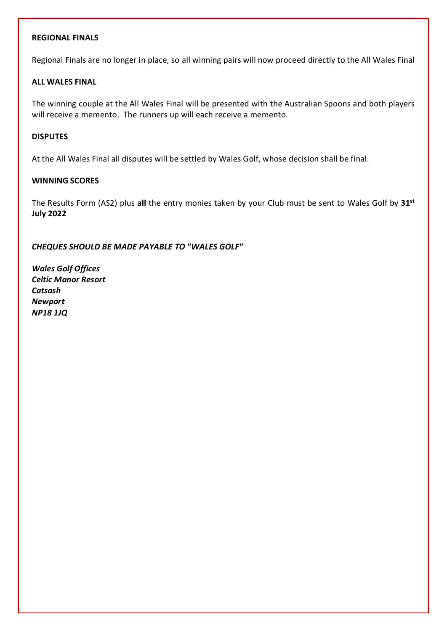#### **REGIONAL FINALS**

Regional Finals are no longer in place, so all winning pairs will now proceed directly to the All Wales Final

#### **ALL WALES FINAL**

The winning couple at the All Wales Final will be presented with the Australian Spoons and both players will receive a memento. The runners up will each receive a memento.

#### **DISPUTES**

At the All Wales Final all disputes will be settled by Wales Golf, whose decision shall be final.

#### **WINNING SCORES**

The Results Form (AS2) plus **all** the entry monies taken by your Club must be sent to Wales Golf by **31st July 2022**

*CHEQUES SHOULD BE MADE PAYABLE TO "WALES GOLF"*

*Wales Golf Offices Celtic Manor Resort Catsash Newport NP18 1JQ*